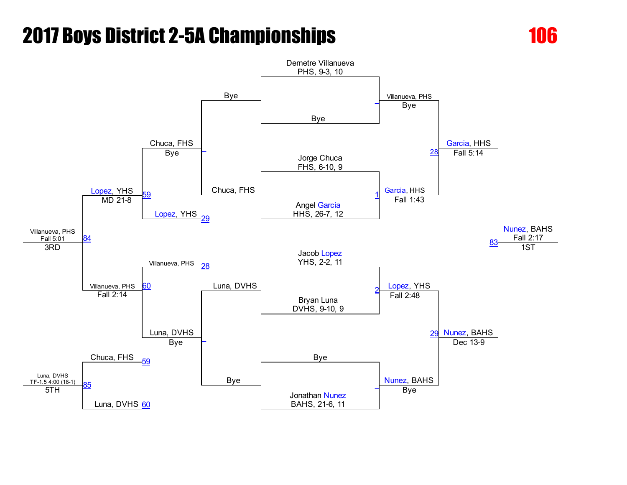

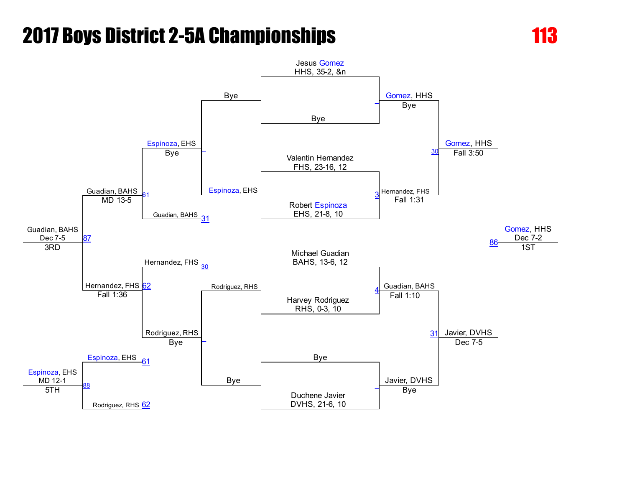

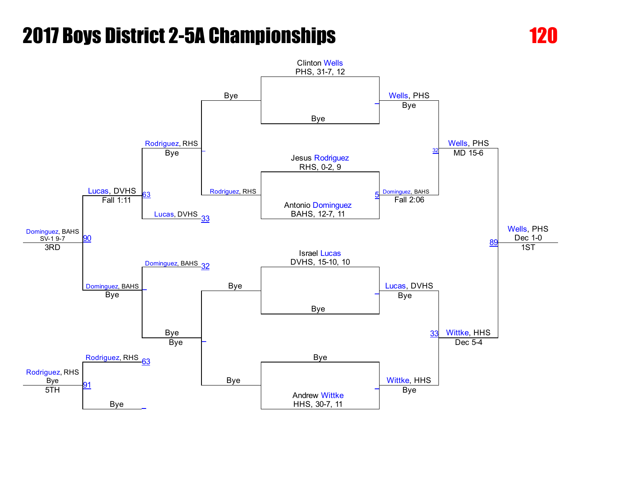

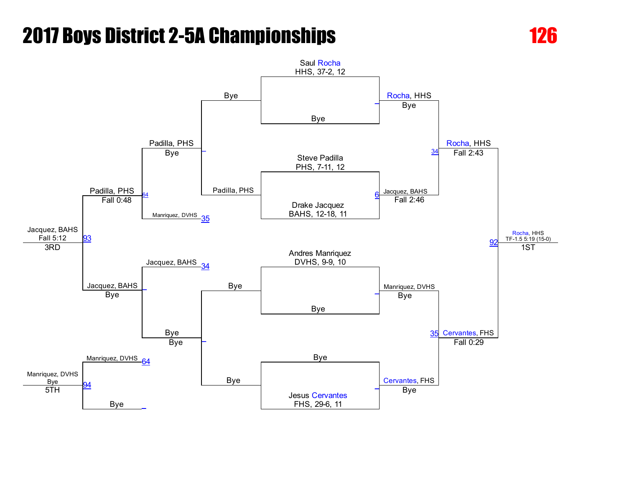

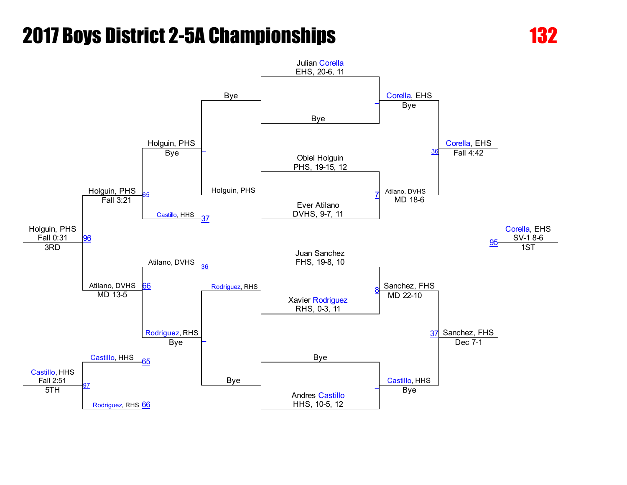

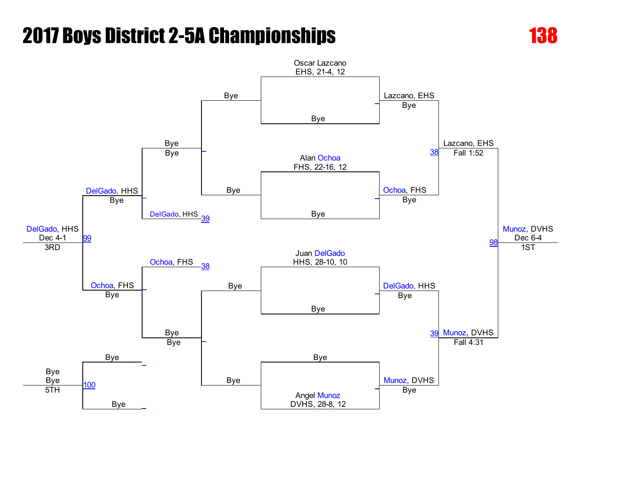

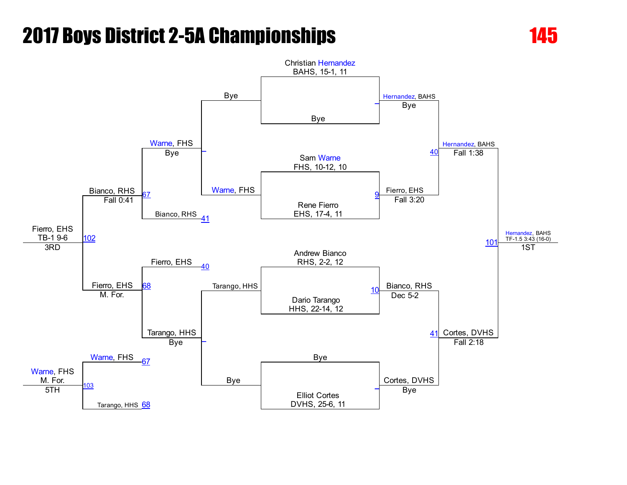

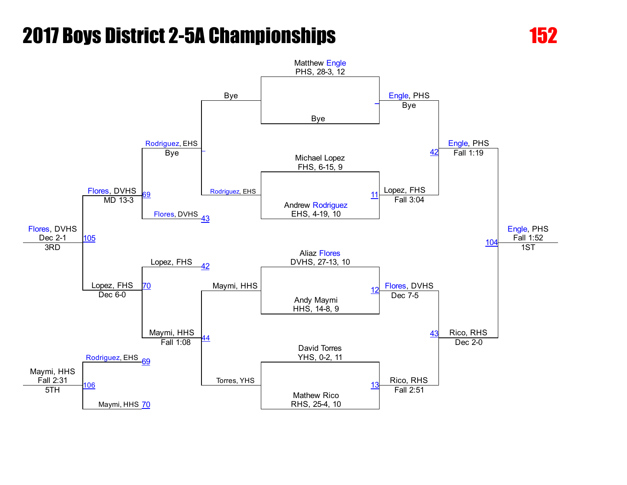

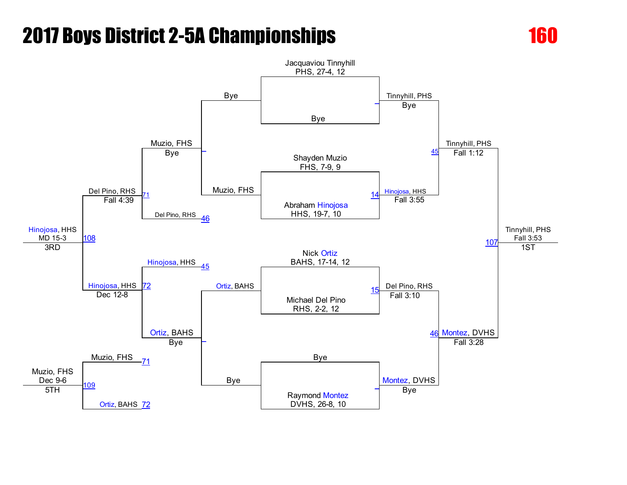

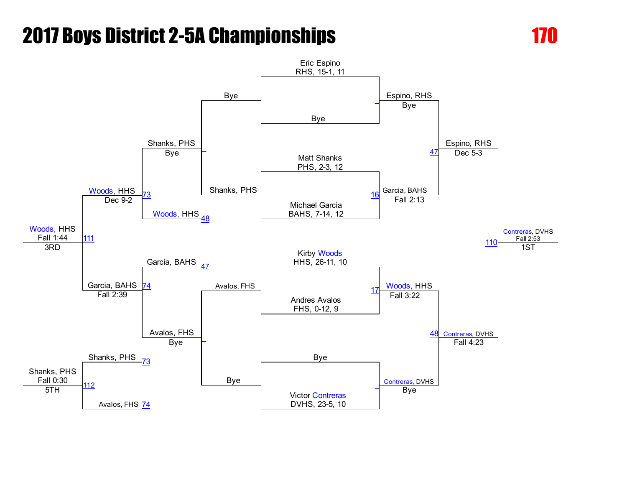



Eric Espino RHS, 15-1, 11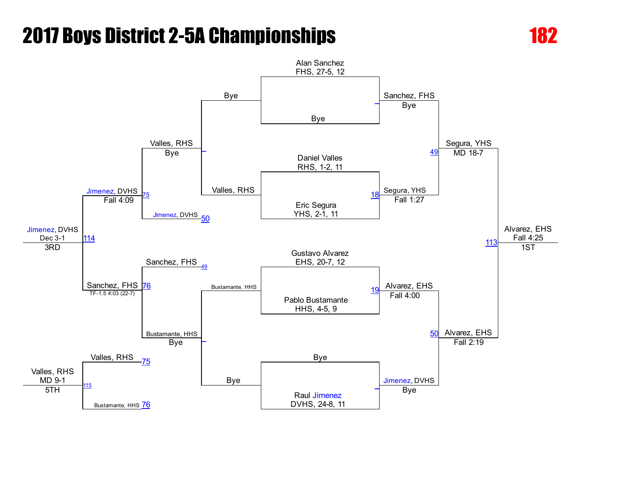

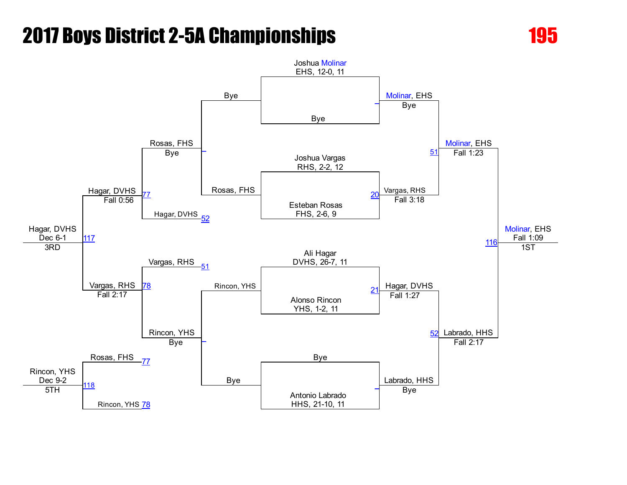

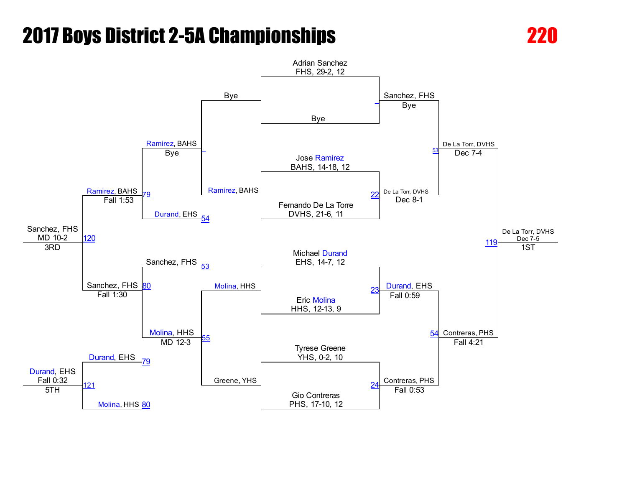